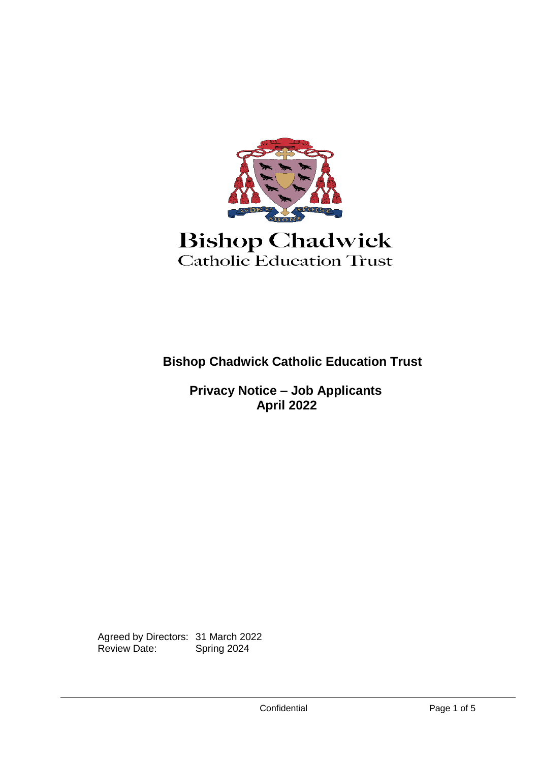

# **Bishop Chadwick** Catholic Education Trust

**Bishop Chadwick Catholic Education Trust**

**Privacy Notice – Job Applicants April 2022**

Agreed by Directors: 31 March 2022<br>Review Date: Spring 2024 Review Date: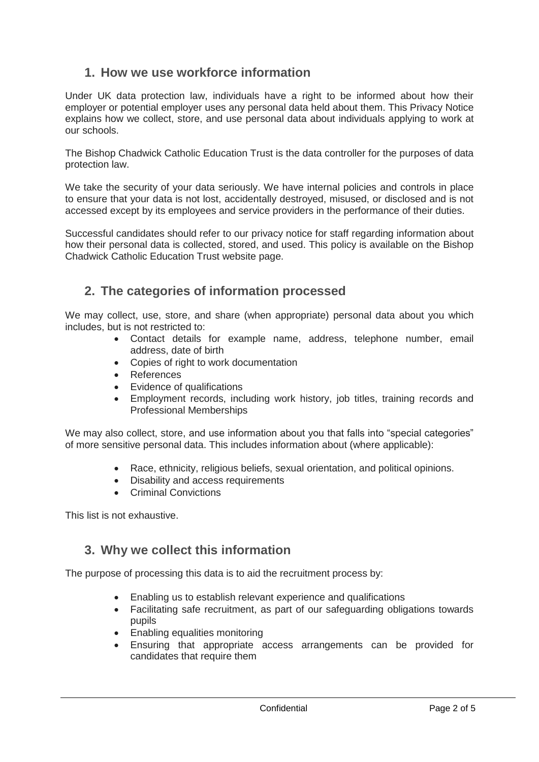## **1. How we use workforce information**

Under UK data protection law, individuals have a right to be informed about how their employer or potential employer uses any personal data held about them. This Privacy Notice explains how we collect, store, and use personal data about individuals applying to work at our schools.

The Bishop Chadwick Catholic Education Trust is the data controller for the purposes of data protection law.

We take the security of your data seriously. We have internal policies and controls in place to ensure that your data is not lost, accidentally destroyed, misused, or disclosed and is not accessed except by its employees and service providers in the performance of their duties.

Successful candidates should refer to our privacy notice for staff regarding information about how their personal data is collected, stored, and used. This policy is available on the Bishop Chadwick Catholic Education Trust website page.

## **2. The categories of information processed**

We may collect, use, store, and share (when appropriate) personal data about you which includes, but is not restricted to:

- Contact details for example name, address, telephone number, email address, date of birth
- Copies of right to work documentation
- References
- Evidence of qualifications
- Employment records, including work history, job titles, training records and Professional Memberships

We may also collect, store, and use information about you that falls into "special categories" of more sensitive personal data. This includes information about (where applicable):

- Race, ethnicity, religious beliefs, sexual orientation, and political opinions.
- Disability and access requirements
- Criminal Convictions

This list is not exhaustive.

#### **3. Why we collect this information**

The purpose of processing this data is to aid the recruitment process by:

- Enabling us to establish relevant experience and qualifications
- Facilitating safe recruitment, as part of our safeguarding obligations towards pupils
- Enabling equalities monitoring
- Ensuring that appropriate access arrangements can be provided for candidates that require them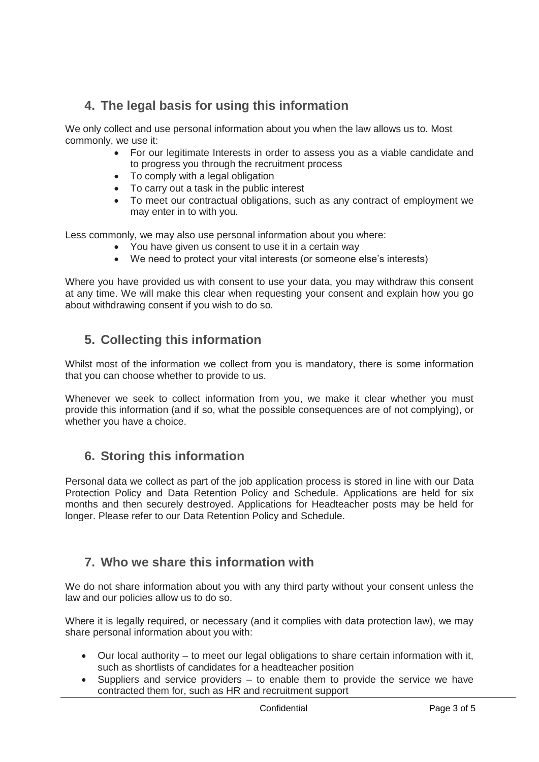## **4. The legal basis for using this information**

We only collect and use personal information about you when the law allows us to. Most commonly, we use it:

- For our legitimate Interests in order to assess you as a viable candidate and to progress you through the recruitment process
- To comply with a legal obligation
- To carry out a task in the public interest
- To meet our contractual obligations, such as any contract of employment we may enter in to with you.

Less commonly, we may also use personal information about you where:

- You have given us consent to use it in a certain way
- We need to protect your vital interests (or someone else's interests)

Where you have provided us with consent to use your data, you may withdraw this consent at any time. We will make this clear when requesting your consent and explain how you go about withdrawing consent if you wish to do so.

## **5. Collecting this information**

Whilst most of the information we collect from you is mandatory, there is some information that you can choose whether to provide to us.

Whenever we seek to collect information from you, we make it clear whether you must provide this information (and if so, what the possible consequences are of not complying), or whether you have a choice.

## **6. Storing this information**

Personal data we collect as part of the job application process is stored in line with our Data Protection Policy and Data Retention Policy and Schedule. Applications are held for six months and then securely destroyed. Applications for Headteacher posts may be held for longer. Please refer to our Data Retention Policy and Schedule.

## **7. Who we share this information with**

We do not share information about you with any third party without your consent unless the law and our policies allow us to do so.

Where it is legally required, or necessary (and it complies with data protection law), we may share personal information about you with:

- Our local authority to meet our legal obligations to share certain information with it, such as shortlists of candidates for a headteacher position
- Suppliers and service providers to enable them to provide the service we have contracted them for, such as HR and recruitment support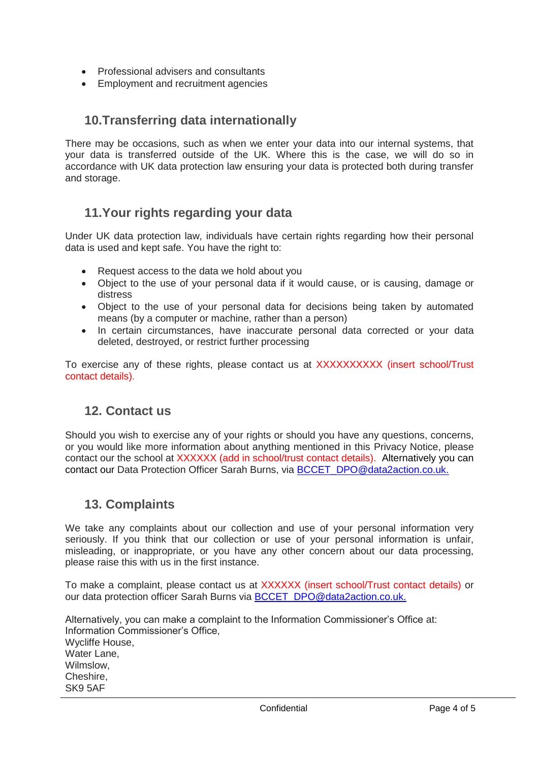- Professional advisers and consultants
- Employment and recruitment agencies

#### **10.Transferring data internationally**

There may be occasions, such as when we enter your data into our internal systems, that your data is transferred outside of the UK. Where this is the case, we will do so in accordance with UK data protection law ensuring your data is protected both during transfer and storage.

#### **11.Your rights regarding your data**

Under UK data protection law, individuals have certain rights regarding how their personal data is used and kept safe. You have the right to:

- Request access to the data we hold about you
- Object to the use of your personal data if it would cause, or is causing, damage or distress
- Object to the use of your personal data for decisions being taken by automated means (by a computer or machine, rather than a person)
- In certain circumstances, have inaccurate personal data corrected or your data deleted, destroyed, or restrict further processing

To exercise any of these rights, please contact us at XXXXXXXXXX (insert school/Trust contact details).

#### **12. Contact us**

Should you wish to exercise any of your rights or should you have any questions, concerns, or you would like more information about anything mentioned in this Privacy Notice, please contact our the school at XXXXXX (add in school/trust contact details). Alternatively you can contact our Data Protection Officer Sarah Burns, via BCCET DPO@data2action.co.uk.

#### **13. Complaints**

We take any complaints about our collection and use of your personal information very seriously. If you think that our collection or use of your personal information is unfair, misleading, or inappropriate, or you have any other concern about our data processing, please raise this with us in the first instance.

To make a complaint, please contact us at XXXXXX (insert school/Trust contact details) or our data protection officer Sarah Burns via [BCCET\\_DPO@data2action.co.uk.](mailto:BCCET_DPO@data2action.co.uk)

Alternatively, you can make a complaint to the Information Commissioner's Office at: Information Commissioner's Office, Wycliffe House, Water Lane, Wilmslow, Cheshire, SK9 5AF